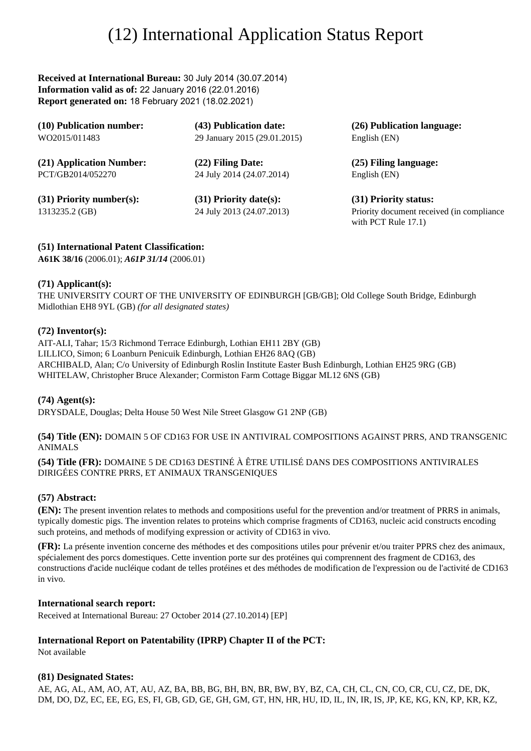# (12) International Application Status Report

**Received at International Bureau:** 30 July 2014 (30.07.2014) **Information valid as of:** 22 January 2016 (22.01.2016) **Report generated on:** 18 February 2021 (18.02.2021)

| (10) Publication number:   | (43) Publication date:       | (26) Publication language:                                          |
|----------------------------|------------------------------|---------------------------------------------------------------------|
| WO2015/011483              | 29 January 2015 (29.01.2015) | English (EN)                                                        |
| (21) Application Number:   | (22) Filing Date:            | (25) Filing language:                                               |
| PCT/GB2014/052270          | 24 July 2014 (24.07.2014)    | English (EN)                                                        |
| $(31)$ Priority number(s): | $(31)$ Priority date(s):     | (31) Priority status:                                               |
| 1313235.2 (GB)             | 24 July 2013 (24.07.2013)    | Priority document received (in compliance<br>with PCT Rule $17.1$ ) |

## **(51) International Patent Classification:**

**A61K 38/16** (2006.01); *A61P 31/14* (2006.01)

### **(71) Applicant(s):**

THE UNIVERSITY COURT OF THE UNIVERSITY OF EDINBURGH [GB/GB]; Old College South Bridge, Edinburgh Midlothian EH8 9YL (GB) *(for all designated states)*

## **(72) Inventor(s):**

AIT-ALI, Tahar; 15/3 Richmond Terrace Edinburgh, Lothian EH11 2BY (GB) LILLICO, Simon; 6 Loanburn Penicuik Edinburgh, Lothian EH26 8AQ (GB) ARCHIBALD, Alan; C/o University of Edinburgh Roslin Institute Easter Bush Edinburgh, Lothian EH25 9RG (GB) WHITELAW, Christopher Bruce Alexander; Cormiston Farm Cottage Biggar ML12 6NS (GB)

**(74) Agent(s):** DRYSDALE, Douglas; Delta House 50 West Nile Street Glasgow G1 2NP (GB)

**(54) Title (EN):** DOMAIN 5 OF CD163 FOR USE IN ANTIVIRAL COMPOSITIONS AGAINST PRRS, AND TRANSGENIC ANIMALS

**(54) Title (FR):** DOMAINE 5 DE CD163 DESTINÉ À ÊTRE UTILISÉ DANS DES COMPOSITIONS ANTIVIRALES DIRIGÉES CONTRE PRRS, ET ANIMAUX TRANSGENIQUES

# **(57) Abstract:**

**(EN):** The present invention relates to methods and compositions useful for the prevention and/or treatment of PRRS in animals, typically domestic pigs. The invention relates to proteins which comprise fragments of CD163, nucleic acid constructs encoding such proteins, and methods of modifying expression or activity of CD163 in vivo.

**(FR):** La présente invention concerne des méthodes et des compositions utiles pour prévenir et/ou traiter PPRS chez des animaux, spécialement des porcs domestiques. Cette invention porte sur des protéines qui comprennent des fragment de CD163, des constructions d'acide nucléique codant de telles protéines et des méthodes de modification de l'expression ou de l'activité de CD163 in vivo.

### **International search report:**

Received at International Bureau: 27 October 2014 (27.10.2014) [EP]

# **International Report on Patentability (IPRP) Chapter II of the PCT:**

Not available

### **(81) Designated States:**

AE, AG, AL, AM, AO, AT, AU, AZ, BA, BB, BG, BH, BN, BR, BW, BY, BZ, CA, CH, CL, CN, CO, CR, CU, CZ, DE, DK, DM, DO, DZ, EC, EE, EG, ES, FI, GB, GD, GE, GH, GM, GT, HN, HR, HU, ID, IL, IN, IR, IS, JP, KE, KG, KN, KP, KR, KZ,